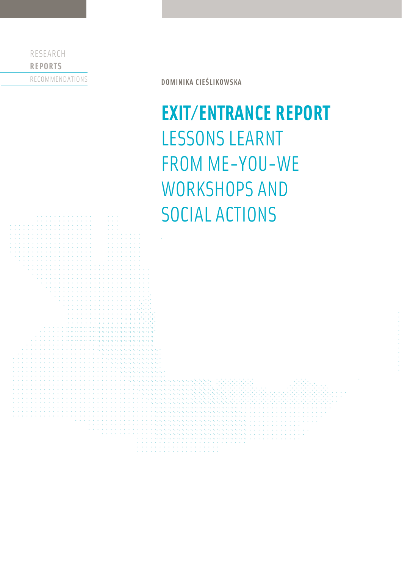RESEARCH **REPORTS** RECOMMENDATIONS

**DOMINIKA CIEŚLIKOWSKA**

# **EXIT/ENTRANCE REPORT** LESSONS LEARNT FROM ME-YOU-WE WORKSHOPS AND SOCIAL ACTIONS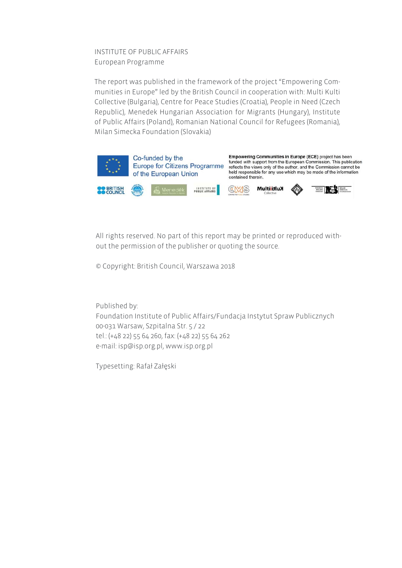INSTITUTE OF PUBLIC AFFAIRS European Programme

The report was published in the framework of the project "Empowering Communities in Europe" led by the British Council in cooperation with: Multi Kulti Collective (Bulgaria), Centre for Peace Studies (Croatia), People in Need (Czech Republic), Menedek Hungarian Association for Migrants (Hungary), Institute of Public Affairs (Poland), Romanian National Council for Refugees (Romania), Milan Simecka Foundation (Slovakia)



All rights reserved. No part of this report may be printed or reproduced without the permission of the publisher or quoting the source.

© Copyright: British Council, Warszawa 2018

Published by: Foundation Institute of Public Affairs/Fundacja Instytut Spraw Publicznych 00-031 Warsaw, Szpitalna Str. 5 / 22 tel.: (+48 22) 55 64 260, fax: (+48 22) 55 64 262 e-mail: isp@isp.org.pl, www.isp.org.pl

Typesetting: Rafał Załęski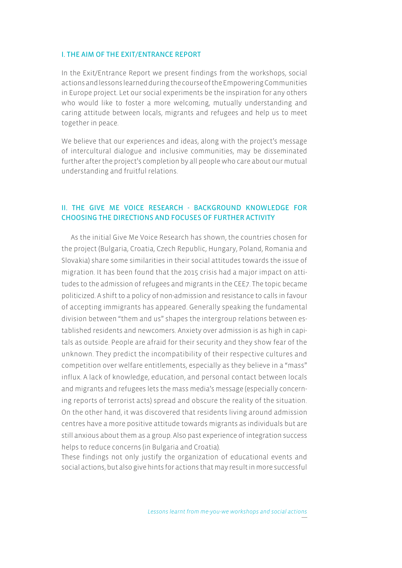#### I. THE AIM OF THE EXIT/ENTRANCE REPORT

In the Exit/Entrance Report we present findings from the workshops, social actions and lessons learned during the course of the Empowering Communities in Europe project. Let our social experiments be the inspiration for any others who would like to foster a more welcoming, mutually understanding and caring attitude between locals, migrants and refugees and help us to meet together in peace.

We believe that our experiences and ideas, along with the project's message of intercultural dialogue and inclusive communities, may be disseminated further after the project's completion by all people who care about our mutual understanding and fruitful relations.

## II. THE GIVE ME VOICE RESEARCH - BACKGROUND KNOWLEDGE FOR CHOOSING THE DIRECTIONS AND FOCUSES OF FURTHER ACTIVITY

As the initial Give Me Voice Research has shown, the countries chosen for the project (Bulgaria, Croatia, Czech Republic, Hungary, Poland, Romania and Slovakia) share some similarities in their social attitudes towards the issue of migration. It has been found that the 2015 crisis had a major impact on attitudes to the admission of refugees and migrants in the CEE7. The topic became politicized. A shift to a policy of non-admission and resistance to calls in favour of accepting immigrants has appeared. Generally speaking the fundamental division between "them and us" shapes the intergroup relations between established residents and newcomers. Anxiety over admission is as high in capitals as outside. People are afraid for their security and they show fear of the unknown. They predict the incompatibility of their respective cultures and competition over welfare entitlements, especially as they believe in a "mass" influx. A lack of knowledge, education, and personal contact between locals and migrants and refugees lets the mass media's message (especially concerning reports of terrorist acts) spread and obscure the reality of the situation. On the other hand, it was discovered that residents living around admission centres have a more positive attitude towards migrants as individuals but are still anxious about them as a group. Also past experience of integration success helps to reduce concerns (in Bulgaria and Croatia).

These findings not only justify the organization of educational events and social actions, but also give hints for actions that may result in more successful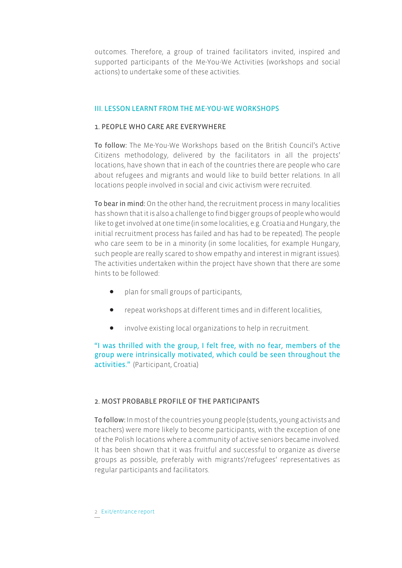outcomes. Therefore, a group of trained facilitators invited, inspired and supported participants of the Me-You-We Activities (workshops and social actions) to undertake some of these activities.

## III. LESSON LEARNT FROM THE ME-YOU-WE WORKSHOPS

## 1. PEOPLE WHO CARE ARE EVERYWHERE

To follow: The Me-You-We Workshops based on the British Council's Active Citizens methodology, delivered by the facilitators in all the projects' locations, have shown that in each of the countries there are people who care about refugees and migrants and would like to build better relations. In all locations people involved in social and civic activism were recruited.

To bear in mind: On the other hand, the recruitment process in many localities has shown that it is also a challenge to find bigger groups of people who would like to get involved at one time (in some localities, e.g. Croatia and Hungary, the initial recruitment process has failed and has had to be repeated). The people who care seem to be in a minority (in some localities, for example Hungary, such people are really scared to show empathy and interest in migrant issues). The activities undertaken within the project have shown that there are some hints to be followed:

- plan for small groups of participants,
- $\bullet$  repeat workshops at different times and in different localities,
- involve existing local organizations to help in recruitment.

"I was thrilled with the group, I felt free, with no fear, members of the group were intrinsically motivated, which could be seen throughout the activities." (Participant, Croatia)

# 2. MOST PROBABLE PROFILE OF THE PARTICIPANTS

To follow: In most of the countries young people (students, young activists and teachers) were more likely to become participants, with the exception of one of the Polish locations where a community of active seniors became involved. It has been shown that it was fruitful and successful to organize as diverse groups as possible, preferably with migrants'/refugees' representatives as regular participants and facilitators.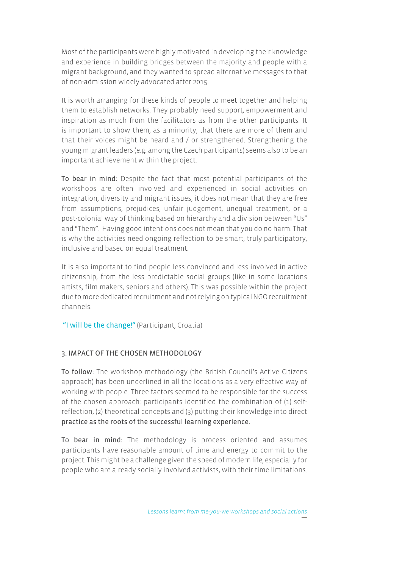Most of the participants were highly motivated in developing their knowledge and experience in building bridges between the majority and people with a migrant background, and they wanted to spread alternative messages to that of non-admission widely advocated after 2015.

It is worth arranging for these kinds of people to meet together and helping them to establish networks. They probably need support, empowerment and inspiration as much from the facilitators as from the other participants. It is important to show them, as a minority, that there are more of them and that their voices might be heard and / or strengthened. Strengthening the young migrant leaders (e.g. among the Czech participants) seems also to be an important achievement within the project.

To bear in mind: Despite the fact that most potential participants of the workshops are often involved and experienced in social activities on integration, diversity and migrant issues, it does not mean that they are free from assumptions, prejudices, unfair judgement, unequal treatment, or a post-colonial way of thinking based on hierarchy and a division between "Us" and "Them". Having good intentions does not mean that you do no harm. That is why the activities need ongoing reflection to be smart, truly participatory, inclusive and based on equal treatment.

It is also important to find people less convinced and less involved in active citizenship, from the less predictable social groups (like in some locations artists, film makers, seniors and others). This was possible within the project due to more dedicated recruitment and not relying on typical NGO recruitment channels.

"I will be the change!" (Participant, Croatia)

# 3. IMPACT OF THE CHOSEN METHODOLOGY

To follow: The workshop methodology (the British Council's Active Citizens approach) has been underlined in all the locations as a very effective way of working with people. Three factors seemed to be responsible for the success of the chosen approach: participants identified the combination of (1) selfreflection, (2) theoretical concepts and (3) putting their knowledge into direct practice as the roots of the successful learning experience.

To bear in mind: The methodology is process oriented and assumes participants have reasonable amount of time and energy to commit to the project. This might be a challenge given the speed of modern life, especially for people who are already socially involved activists, with their time limitations.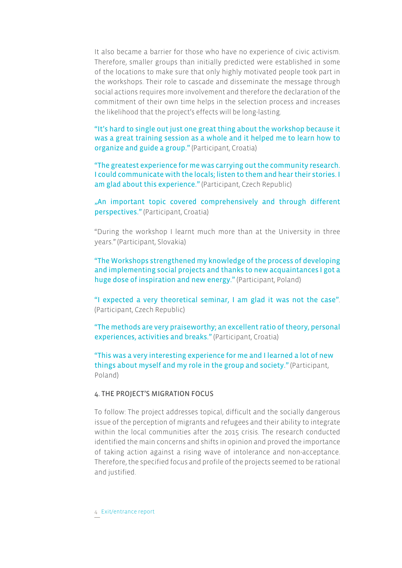It also became a barrier for those who have no experience of civic activism. Therefore, smaller groups than initially predicted were established in some of the locations to make sure that only highly motivated people took part in the workshops. Their role to cascade and disseminate the message through social actions requires more involvement and therefore the declaration of the commitment of their own time helps in the selection process and increases the likelihood that the project's effects will be long-lasting.

"It's hard to single out just one great thing about the workshop because it was a great training session as a whole and it helped me to learn how to organize and guide a group." (Participant, Croatia)

"The greatest experience for me was carrying out the community research. I could communicate with the locals; listen to them and hear their stories. I am glad about this experience." (Participant, Czech Republic)

"An important topic covered comprehensively and through different perspectives." (Participant, Croatia)

"During the workshop I learnt much more than at the University in three years." (Participant, Slovakia)

"The Workshops strengthened my knowledge of the process of developing and implementing social projects and thanks to new acquaintances I got a huge dose of inspiration and new energy." (Participant, Poland)

"I expected a very theoretical seminar, I am glad it was not the case". (Participant, Czech Republic)

"The methods are very praiseworthy; an excellent ratio of theory, personal experiences, activities and breaks." (Participant, Croatia)

"This was a very interesting experience for me and I learned a lot of new things about myself and my role in the group and society." (Participant, Poland)

## 4. THE PROJECT'S MIGRATION FOCUS

To follow: The project addresses topical, difficult and the socially dangerous issue of the perception of migrants and refugees and their ability to integrate within the local communities after the 2015 crisis. The research conducted identified the main concerns and shifts in opinion and proved the importance of taking action against a rising wave of intolerance and non-acceptance. Therefore, the specified focus and profile of the projects seemed to be rational and justified.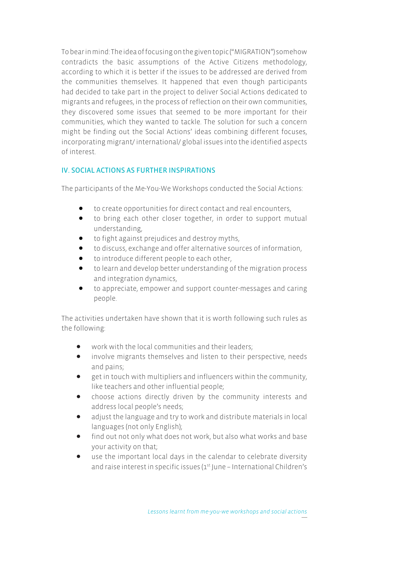To bear in mind: The idea of focusing on the given topic ("MIGRATION") somehow contradicts the basic assumptions of the Active Citizens methodology, according to which it is better if the issues to be addressed are derived from the communities themselves. It happened that even though participants had decided to take part in the project to deliver Social Actions dedicated to migrants and refugees, in the process of reflection on their own communities, they discovered some issues that seemed to be more important for their communities, which they wanted to tackle. The solution for such a concern might be finding out the Social Actions' ideas combining different focuses, incorporating migrant/ international/ global issues into the identified aspects of interest.

# IV. SOCIAL ACTIONS AS FURTHER INSPIRATIONS

The participants of the Me-You-We Workshops conducted the Social Actions:

- to create opportunities for direct contact and real encounters,
- to bring each other closer together, in order to support mutual understanding,
- to fight against prejudices and destroy myths,
- to discuss, exchange and offer alternative sources of information,
- to introduce different people to each other,
- $\bullet$  to learn and develop better understanding of the migration process and integration dynamics,
- $\bullet$  to appreciate, empower and support counter-messages and caring people.

The activities undertaken have shown that it is worth following such rules as the following:

- $\bullet$  work with the local communities and their leaders;
- involve migrants themselves and listen to their perspective, needs and pains;
- get in touch with multipliers and influencers within the community, like teachers and other influential people;
- choose actions directly driven by the community interests and address local people's needs;
- adjust the language and try to work and distribute materials in local languages (not only English);
- find out not only what does not work, but also what works and base your activity on that;
- $\bullet$  use the important local days in the calendar to celebrate diversity and raise interest in specific issues (1<sup>st</sup> June – International Children's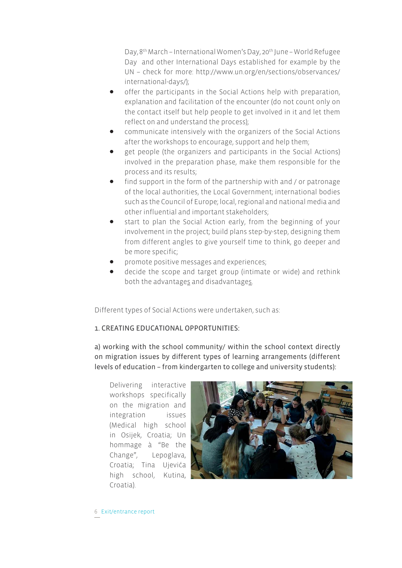Day, 8<sup>th</sup> March – International Women's Day, 20<sup>th</sup> June – World Refugee Day and other International Days established for example by the UN – check for more: http://www.un.org/en/sections/observances/ international-days/);

- offer the participants in the Social Actions help with preparation, explanation and facilitation of the encounter (do not count only on the contact itself but help people to get involved in it and let them reflect on and understand the process);
- communicate intensively with the organizers of the Social Actions after the workshops to encourage, support and help them;
- get people (the organizers and participants in the Social Actions) involved in the preparation phase, make them responsible for the process and its results;
- $\bullet$  find support in the form of the partnership with and / or patronage of the local authorities, the Local Government; international bodies such as the Council of Europe; local, regional and national media and other influential and important stakeholders;
- start to plan the Social Action early, from the beginning of your involvement in the project; build plans step-by-step, designing them from different angles to give yourself time to think, go deeper and be more specific;
- promote positive messages and experiences;
- decide the scope and target group (intimate or wide) and rethink both the advantages and disadvantages.

Different types of Social Actions were undertaken, such as:

# 1. CREATING EDUCATIONAL OPPORTUNITIES:

a) working with the school community/ within the school context directly on migration issues by different types of learning arrangements (different levels of education – from kindergarten to college and university students):

Delivering interactive workshops specifically on the migration and integration issues (Medical high school in Osijek, Croatia; Un hommage à "Be the Change", Lepoglava, Croatia; Tina Ujevića high school, Kutina, Croatia).



6 Exit/entrance report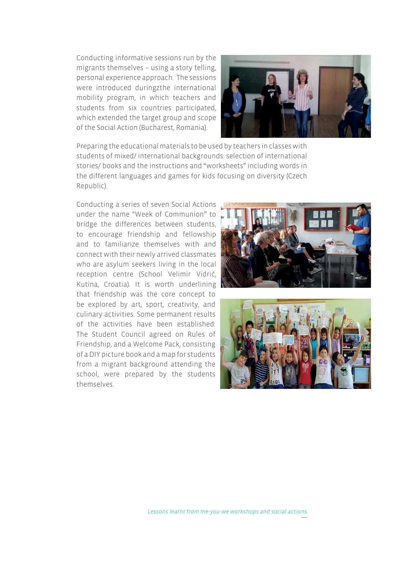Conducting informative sessions run by the migrants themselves – using a story telling, personal experience approach. The sessions were introduced duringzthe international mobility program, in which teachers and students from six countries participated, which extended the target group and scope of the Social Action (Bucharest, Romania).



Preparing the educational materials to be used by teachers in classes with students of mixed/ international backgrounds: selection of international stories/ books and the instructions and "worksheets" including words in the different languages and games for kids focusing on diversity (Czech Republic).

Conducting a series of seven Social Actions under the name "Week of Communion" to bridge the differences between students, to encourage friendship and fellowship and to familiarize themselves with and connect with their newly arrived classmates who are asylum seekers living in the local reception centre (School Velimir Vidrić, Kutina, Croatia). It is worth underlining that friendship was the core concept to be explored by art, sport, creativity, and culinary activities. Some permanent results of the activities have been established: The Student Council agreed on Rules of Friendship, and a Welcome Pack, consisting of a DIY picture book and a map for students from a migrant background attending the school, were prepared by the students themselves.



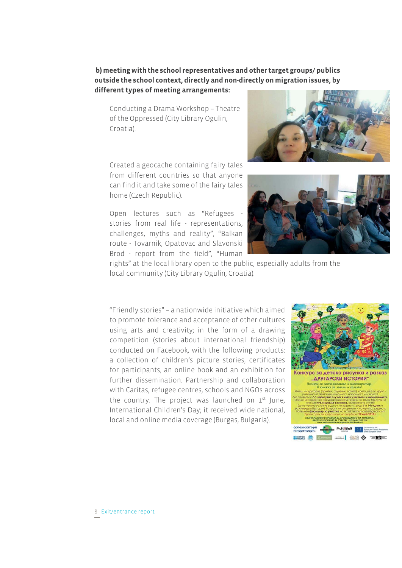**b) meeting with the school representatives and other target groups/ publics outside the school context, directly and non-directly on migration issues, by different types of meeting arrangements:**

Conducting a Drama Workshop – Theatre of the Oppressed (City Library Ogulin, Croatia).

Created a geocache containing fairy tales from different countries so that anyone can find it and take some of the fairy tales home (Czech Republic).

Open lectures such as "Refugees stories from real life - representations, challenges, myths and reality", "Balkan route - Tovarnik, Opatovac and Slavonski Brod - report from the field", "Human





rights" at the local library open to the public, especially adults from the local community (City Library Ogulin, Croatia).

"Friendly stories" – a nationwide initiative which aimed to promote tolerance and acceptance of other cultures using arts and creativity; in the form of a drawing competition (stories about international friendship) conducted on Facebook, with the following products: a collection of children's picture stories, certificates for participants, an online book and an exhibition for further dissemination. Partnership and collaboration with Caritas, refugee centres, schools and NGOs across the country. The project was launched on  $1<sup>st</sup>$  June, International Children's Day; it received wide national, local and online media coverage (Burgas, Bulgaria).

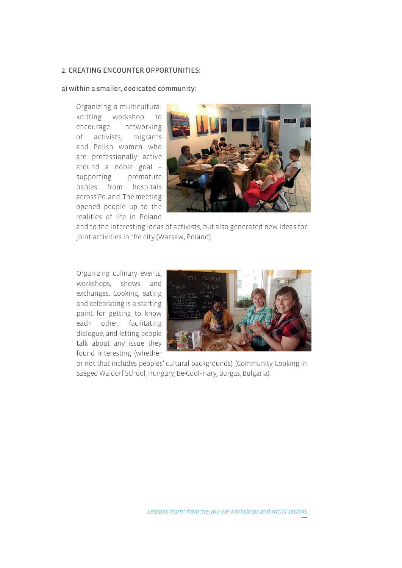#### 2. CREATING ENCOUNTER OPPORTUNITIES:

#### a) within a smaller, dedicated community:

Organizing a multicultural knitting workshop to encourage networking of activists, migrants and Polish women who are professionally active around a noble goal – supporting premature babies from hospitals across Poland. The meeting opened people up to the realities of life in Poland



and to the interesting ideas of activists, but also generated new ideas for joint activities in the city (Warsaw, Poland).

Organizing culinary events, workshops, shows and exchanges. Cooking, eating and celebrating is a starting point for getting to know each other, facilitating dialogue, and letting people talk about any issue they found interesting (whether



or not that includes peoples' cultural backgrounds). (Community Cooking in Szeged Waldorf School, Hungary; Be-Cool-inary, Burgas, Bulgaria).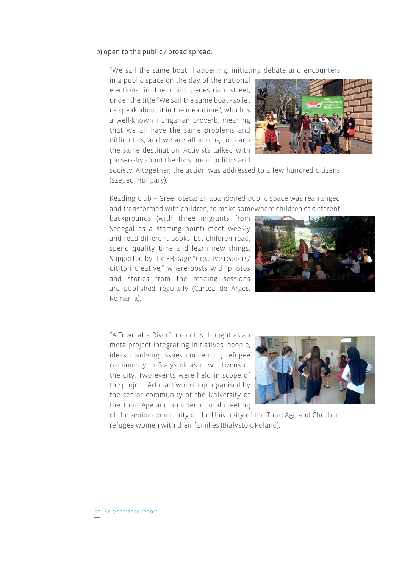## b) open to the public / broad spread:

"We sail the same boat" happening: initiating debate and encounters

in a public space on the day of the national elections in the main pedestrian street, under the title "We sail the same boat - so let us speak about it in the meantime", which is a well-known Hungarian proverb, meaning that we all have the same problems and difficulties, and we are all aiming to reach the same destination. Activists talked with passers-by about the divisions in politics and



society. Altogether, the action was addressed to a few hundred citizens (Szeged, Hungary).

Reading club – Greenoteca: an abandoned public space was rearranged and transformed with children, to make somewhere children of different

backgrounds (with three migrants from Senegal as a starting point) meet weekly and read different books. Let children read, spend quality time and learn new things. Supported by the FB page "Creative readers/ Cititori creative," where posts with photos and stories from the reading sessions are published regularly (Curtea de Arges, Romania).



"A Town at a River" project is thought as an meta project integrating initiatives, people, ideas involving issues concerning refugee community in Bialystok as new citizens of the city. Two events were held in scope of the project: Art craft workshop organised by the senior community of the University of the Third Age and an intercultural meeting



of the senior community of the University of the Third Age and Chechen refugee women with their families (Bialystok, Poland).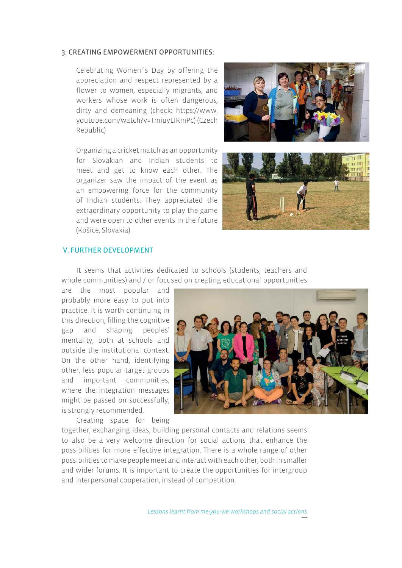#### 3. CREATING EMPOWERMENT OPPORTUNITIES:

Celebrating Women´s Day by offering the appreciation and respect represented by a flower to women, especially migrants, and workers whose work is often dangerous, dirty and demeaning (check: https://www. youtube.com/watch?v=TmiuyLIRmPc) (Czech Republic)

Organizing a cricket match as an opportunity for Slovakian and Indian students to meet and get to know each other. The organizer saw the impact of the event as an empowering force for the community of Indian students. They appreciated the extraordinary opportunity to play the game and were open to other events in the future (Košice, Slovakia)





## V. FURTHER DEVELOPMENT

It seems that activities dedicated to schools (students, teachers and whole communities) and / or focused on creating educational opportunities

are the most popular and probably more easy to put into practice. It is worth continuing in this direction, filling the cognitive gap and shaping peoples' mentality, both at schools and outside the institutional context. On the other hand, identifying other, less popular target groups and important communities, where the integration messages might be passed on successfully, is strongly recommended.

Creating space for being



together, exchanging ideas, building personal contacts and relations seems to also be a very welcome direction for social actions that enhance the possibilities for more effective integration. There is a whole range of other possibilities to make people meet and interact with each other, both in smaller and wider forums. It is important to create the opportunities for intergroup and interpersonal cooperation, instead of competition.